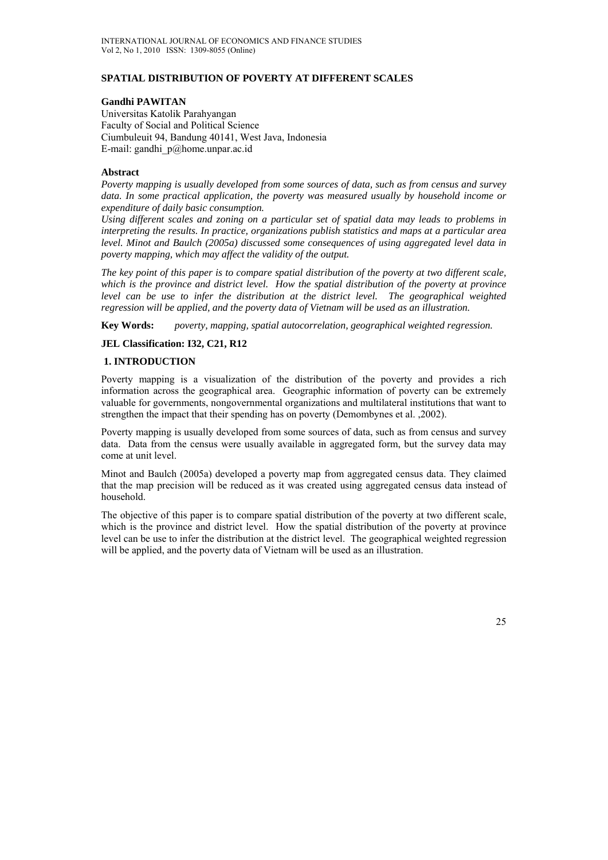# **SPATIAL DISTRIBUTION OF POVERTY AT DIFFERENT SCALES**

### **Gandhi PAWITAN**

Universitas Katolik Parahyangan Faculty of Social and Political Science Ciumbuleuit 94, Bandung 40141, West Java, Indonesia E-mail: gandhi\_p@home.unpar.ac.id

#### **Abstract**

*Poverty mapping is usually developed from some sources of data, such as from census and survey data. In some practical application, the poverty was measured usually by household income or expenditure of daily basic consumption.* 

*Using different scales and zoning on a particular set of spatial data may leads to problems in interpreting the results. In practice, organizations publish statistics and maps at a particular area level. Minot and Baulch (2005a) discussed some consequences of using aggregated level data in poverty mapping, which may affect the validity of the output.* 

*The key point of this paper is to compare spatial distribution of the poverty at two different scale, which is the province and district level. How the spatial distribution of the poverty at province level can be use to infer the distribution at the district level. The geographical weighted regression will be applied, and the poverty data of Vietnam will be used as an illustration.* 

**Key Words:** *poverty, mapping, spatial autocorrelation, geographical weighted regression.* 

# **JEL Classification: I32, C21, R12**

# **1. INTRODUCTION**

Poverty mapping is a visualization of the distribution of the poverty and provides a rich information across the geographical area. Geographic information of poverty can be extremely valuable for governments, nongovernmental organizations and multilateral institutions that want to strengthen the impact that their spending has on poverty (Demombynes et al. ,2002).

Poverty mapping is usually developed from some sources of data, such as from census and survey data. Data from the census were usually available in aggregated form, but the survey data may come at unit level.

Minot and Baulch (2005a) developed a poverty map from aggregated census data. They claimed that the map precision will be reduced as it was created using aggregated census data instead of household.

The objective of this paper is to compare spatial distribution of the poverty at two different scale, which is the province and district level. How the spatial distribution of the poverty at province level can be use to infer the distribution at the district level. The geographical weighted regression will be applied, and the poverty data of Vietnam will be used as an illustration.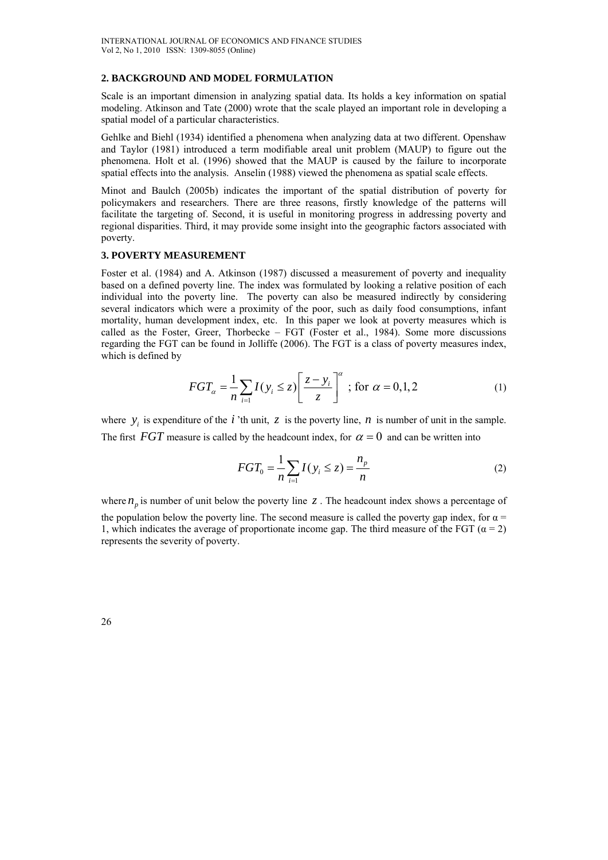#### **2. BACKGROUND AND MODEL FORMULATION**

Scale is an important dimension in analyzing spatial data. Its holds a key information on spatial modeling. Atkinson and Tate (2000) wrote that the scale played an important role in developing a spatial model of a particular characteristics.

Gehlke and Biehl (1934) identified a phenomena when analyzing data at two different. Openshaw and Taylor (1981) introduced a term modifiable areal unit problem (MAUP) to figure out the phenomena. Holt et al. (1996) showed that the MAUP is caused by the failure to incorporate spatial effects into the analysis. Anselin (1988) viewed the phenomena as spatial scale effects.

Minot and Baulch (2005b) indicates the important of the spatial distribution of poverty for policymakers and researchers. There are three reasons, firstly knowledge of the patterns will facilitate the targeting of. Second, it is useful in monitoring progress in addressing poverty and regional disparities. Third, it may provide some insight into the geographic factors associated with poverty.

#### **3. POVERTY MEASUREMENT**

Foster et al. (1984) and A. Atkinson (1987) discussed a measurement of poverty and inequality based on a defined poverty line. The index was formulated by looking a relative position of each individual into the poverty line. The poverty can also be measured indirectly by considering several indicators which were a proximity of the poor, such as daily food consumptions, infant mortality, human development index, etc. In this paper we look at poverty measures which is called as the Foster, Greer, Thorbecke – FGT (Foster et al., 1984). Some more discussions regarding the FGT can be found in Jolliffe (2006). The FGT is a class of poverty measures index, which is defined by

$$
FGT_{\alpha} = \frac{1}{n} \sum_{i=1} I(y_i \le z) \left[ \frac{z - y_i}{z} \right]^{\alpha}; \text{ for } \alpha = 0, 1, 2
$$
 (1)

where  $y_i$  is expenditure of the *i* 'th unit, *z* is the poverty line, *n* is number of unit in the sample. The first *FGT* measure is called by the headcount index, for  $\alpha = 0$  and can be written into

$$
FGT_0 = \frac{1}{n} \sum_{i=1}^{n} I(y_i \le z) = \frac{n_p}{n}
$$
 (2)

where  $n_p$  is number of unit below the poverty line  $z$ . The headcount index shows a percentage of the population below the poverty line. The second measure is called the poverty gap index, for  $\alpha$  = 1, which indicates the average of proportionate income gap. The third measure of the FGT ( $\alpha = 2$ ) represents the severity of poverty.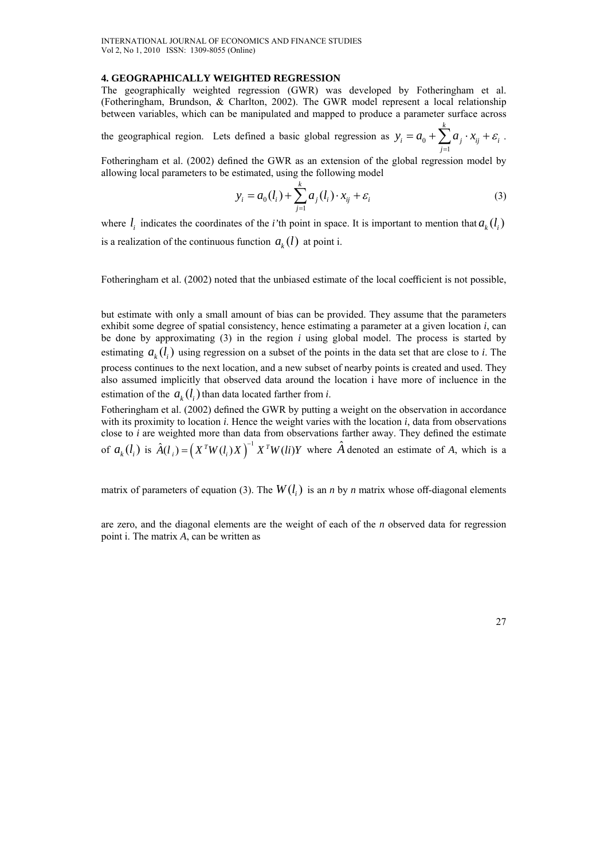#### **4. GEOGRAPHICALLY WEIGHTED REGRESSION**

The geographically weighted regression (GWR) was developed by Fotheringham et al. (Fotheringham, Brundson, & Charlton, 2002). The GWR model represent a local relationship between variables, which can be manipulated and mapped to produce a parameter surface across

the geographical region. Lets defined a basic global regression as  $y_i = a_0$ 1 *k*  $i = u_0$   $\sum_i u_i^i u_{ij}^i$ *j*  $y_i = a_0 + \sum a_i \cdot x_{ii} + \varepsilon$  $=a_0+\sum_{j=1}a_j\cdot x_{ij}+\varepsilon_i$ .

Fotheringham et al. (2002) defined the GWR as an extension of the global regression model by allowing local parameters to be estimated, using the following model

$$
y_i = a_0(l_i) + \sum_{j=1}^{k} a_j(l_i) \cdot x_{ij} + \varepsilon_i
$$
 (3)

where  $l_i$  indicates the coordinates of the *i*'th point in space. It is important to mention that  $a_k(l_i)$ is a realization of the continuous function  $a_{\iota}(l)$  at point i.

Fotheringham et al. (2002) noted that the unbiased estimate of the local coefficient is not possible,

but estimate with only a small amount of bias can be provided. They assume that the parameters exhibit some degree of spatial consistency, hence estimating a parameter at a given location *i*, can be done by approximating (3) in the region *i* using global model. The process is started by estimating  $a_{\iota}(l)$  using regression on a subset of the points in the data set that are close to *i*. The process continues to the next location, and a new subset of nearby points is created and used. They also assumed implicitly that observed data around the location i have more of incluence in the estimation of the  $a_k(l_i)$  than data located farther from *i*.

Fotheringham et al. (2002) defined the GWR by putting a weight on the observation in accordance with its proximity to location *i*. Hence the weight varies with the location *i*, data from observations close to *i* are weighted more than data from observations farther away. They defined the estimate of  $a_k(l_i)$  is  $\hat{A}(l_i) = (X^T W(l_i) X)^{-1} X^T W(l_i) Y$  where  $\hat{A}$  denoted an estimate of *A*, which is a

matrix of parameters of equation (3). The  $W(l_i)$  is an *n* by *n* matrix whose off-diagonal elements

are zero, and the diagonal elements are the weight of each of the *n* observed data for regression point i. The matrix *A*, can be written as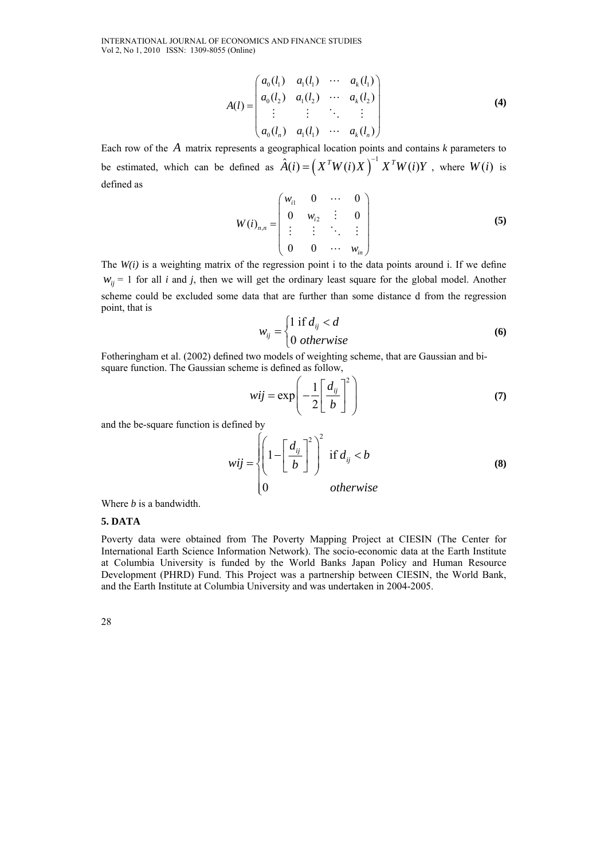INTERNATIONAL JOURNAL OF ECONOMICS AND FINANCE STUDIES Vol 2, No 1, 2010 ISSN: 1309-8055 (Online)

$$
A(l) = \begin{pmatrix} a_0(l_1) & a_1(l_1) & \cdots & a_k(l_1) \\ a_0(l_2) & a_1(l_2) & \cdots & a_k(l_2) \\ \vdots & \vdots & \ddots & \vdots \\ a_0(l_n) & a_1(l_1) & \cdots & a_k(l_n) \end{pmatrix}
$$
 (4)

Each row of the *A* matrix represents a geographical location points and contains *k* parameters to be estimated, which can be defined as  $\hat{A}(i) = (X^T W(i) X)^{-1} X^T W(i) Y$ , where  $W(i)$  is defined as

$$
W(i)_{n,n} = \begin{pmatrix} w_{i1} & 0 & \cdots & 0 \\ 0 & w_{i2} & \vdots & 0 \\ \vdots & \vdots & \ddots & \vdots \\ 0 & 0 & \cdots & w_{in} \end{pmatrix}
$$
 (5)

The *W(i)* is a weighting matrix of the regression point i to the data points around i. If we define  $w_{ii}$  = 1 for all *i* and *j*, then we will get the ordinary least square for the global model. Another scheme could be excluded some data that are further than some distance d from the regression point, that is

$$
w_{ij} = \begin{cases} 1 \text{ if } d_{ij} < d \\ 0 \text{ otherwise} \end{cases} \tag{6}
$$

Fotheringham et al. (2002) defined two models of weighting scheme, that are Gaussian and bisquare function. The Gaussian scheme is defined as follow,

$$
wij = \exp\left(-\frac{1}{2}\left[\frac{d_{ij}}{b}\right]^2\right) \tag{7}
$$

and the be-square function is defined by

$$
wij = \begin{cases} \left(1 - \left[\frac{d_{ij}}{b}\right]^2\right)^2 & \text{if } d_{ij} < b\\ 0 & \text{otherwise} \end{cases}
$$
 (8)

Where *b* is a bandwidth.

### **5. DATA**

Poverty data were obtained from The Poverty Mapping Project at CIESIN (The Center for International Earth Science Information Network). The socio-economic data at the Earth Institute at Columbia University is funded by the World Banks Japan Policy and Human Resource Development (PHRD) Fund. This Project was a partnership between CIESIN, the World Bank, and the Earth Institute at Columbia University and was undertaken in 2004-2005.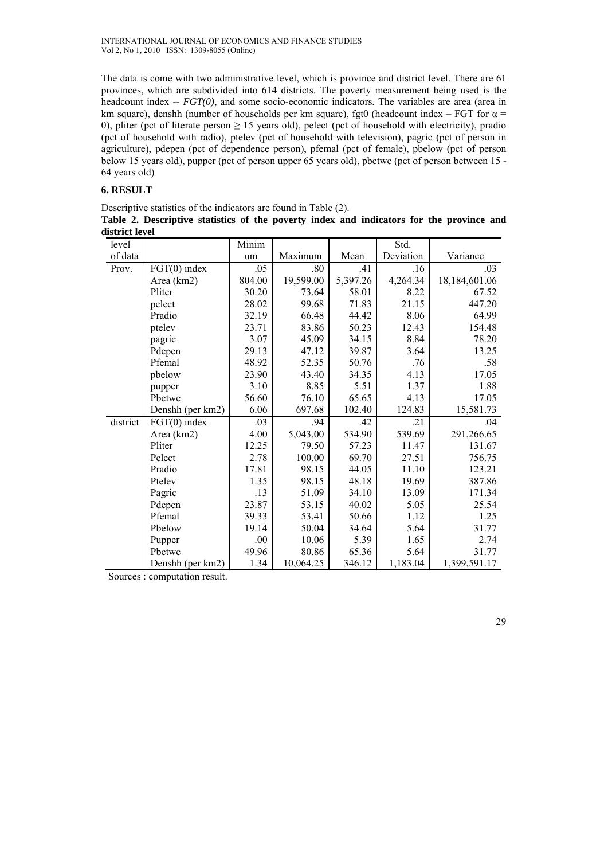The data is come with two administrative level, which is province and district level. There are 61 provinces, which are subdivided into 614 districts. The poverty measurement being used is the headcount index -- *FGT(0)*, and some socio-economic indicators. The variables are area (area in km square), denshh (number of households per km square), fgt0 (headcount index – FGT for  $\alpha$  = 0), pliter (pct of literate person  $\geq$  15 years old), pelect (pct of household with electricity), pradio (pct of household with radio), ptelev (pct of household with television), pagric (pct of person in agriculture), pdepen (pct of dependence person), pfemal (pct of female), pbelow (pct of person below 15 years old), pupper (pct of person upper 65 years old), pbetwe (pct of person between 15 - 64 years old)

# **6. RESULT**

Descriptive statistics of the indicators are found in Table (2). **Table 2. Descriptive statistics of the poverty index and indicators for the province and district level** 

| level    |                  | Minim  |           |          | Std.      |               |
|----------|------------------|--------|-----------|----------|-----------|---------------|
| of data  |                  | um     | Maximum   | Mean     | Deviation | Variance      |
| Prov.    | FGT(0) index     | .05    | .80       | .41      | .16       | .03           |
|          | Area (km2)       | 804.00 | 19,599.00 | 5,397.26 | 4,264.34  | 18,184,601.06 |
|          | Pliter           | 30.20  | 73.64     | 58.01    | 8.22      | 67.52         |
|          | pelect           | 28.02  | 99.68     | 71.83    | 21.15     | 447.20        |
|          | Pradio           | 32.19  | 66.48     | 44.42    | 8.06      | 64.99         |
|          | ptelev           | 23.71  | 83.86     | 50.23    | 12.43     | 154.48        |
|          | pagric           | 3.07   | 45.09     | 34.15    | 8.84      | 78.20         |
|          | Pdepen           | 29.13  | 47.12     | 39.87    | 3.64      | 13.25         |
|          | Pfemal           | 48.92  | 52.35     | 50.76    | .76       | .58           |
|          | pbelow           | 23.90  | 43.40     | 34.35    | 4.13      | 17.05         |
|          | pupper           | 3.10   | 8.85      | 5.51     | 1.37      | 1.88          |
|          | Pbetwe           | 56.60  | 76.10     | 65.65    | 4.13      | 17.05         |
|          | Denshh (per km2) | 6.06   | 697.68    | 102.40   | 124.83    | 15,581.73     |
| district | $FGT(0)$ index   | .03    | .94       | .42      | .21       | .04           |
|          | Area (km2)       | 4.00   | 5,043.00  | 534.90   | 539.69    | 291,266.65    |
|          | Pliter           | 12.25  | 79.50     | 57.23    | 11.47     | 131.67        |
|          | Pelect           | 2.78   | 100.00    | 69.70    | 27.51     | 756.75        |
|          | Pradio           | 17.81  | 98.15     | 44.05    | 11.10     | 123.21        |
|          | Ptelev           | 1.35   | 98.15     | 48.18    | 19.69     | 387.86        |
|          | Pagric           | .13    | 51.09     | 34.10    | 13.09     | 171.34        |
|          | Pdepen           | 23.87  | 53.15     | 40.02    | 5.05      | 25.54         |
|          | Pfemal           | 39.33  | 53.41     | 50.66    | 1.12      | 1.25          |
|          | Pbelow           | 19.14  | 50.04     | 34.64    | 5.64      | 31.77         |
|          | Pupper           | .00    | 10.06     | 5.39     | 1.65      | 2.74          |
|          | Pbetwe           | 49.96  | 80.86     | 65.36    | 5.64      | 31.77         |
|          | Denshh (per km2) | 1.34   | 10,064.25 | 346.12   | 1,183.04  | 1,399,591.17  |

Sources : computation result.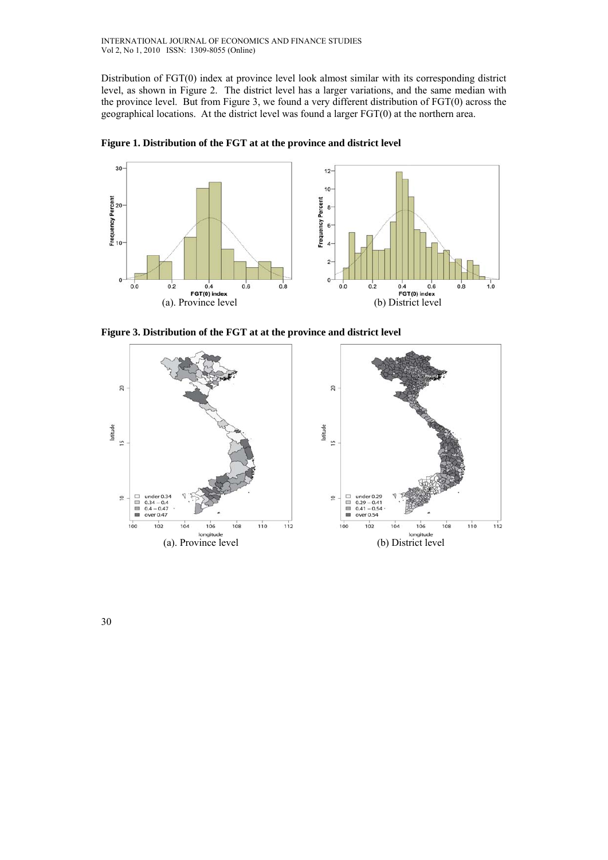Distribution of FGT(0) index at province level look almost similar with its corresponding district level, as shown in Figure 2. The district level has a larger variations, and the same median with the province level. But from Figure 3, we found a very different distribution of FGT(0) across the geographical locations. At the district level was found a larger FGT(0) at the northern area.



**Figure 1. Distribution of the FGT at at the province and district level** 

**Figure 3. Distribution of the FGT at at the province and district level** 

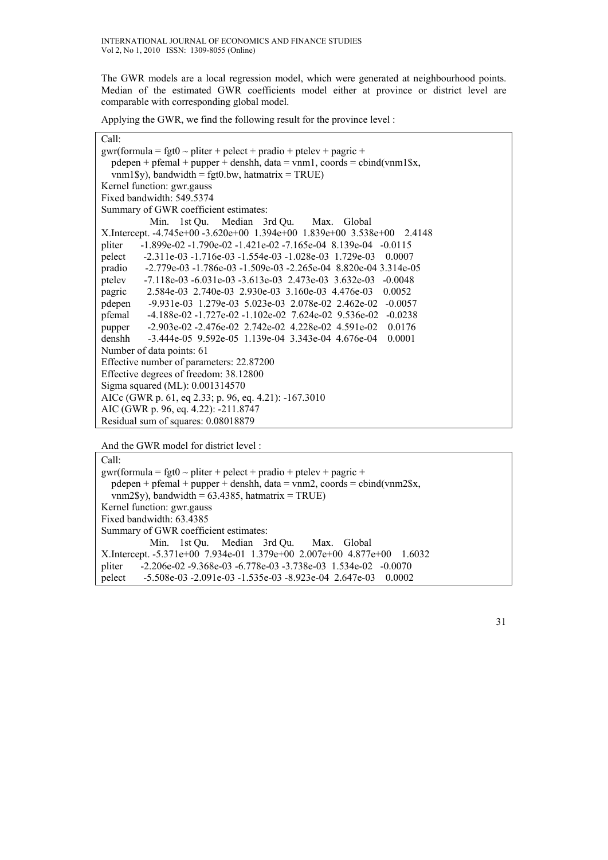The GWR models are a local regression model, which were generated at neighbourhood points. Median of the estimated GWR coefficients model either at province or district level are comparable with corresponding global model.

Applying the GWR, we find the following result for the province level :

# Call:

| $gwr(formula = fgt0 \sim pliter + pelect + pradio + ptelev + pagric +$             |  |  |  |  |
|------------------------------------------------------------------------------------|--|--|--|--|
| pdepen + pfemal + pupper + denshh, data = vnm1, coords = cbind(vnm1\$x,            |  |  |  |  |
| vnm1\$y), bandwidth = fgt0.bw, hatmatrix = TRUE)                                   |  |  |  |  |
| Kernel function: gwr.gauss                                                         |  |  |  |  |
| Fixed bandwidth: 549.5374                                                          |  |  |  |  |
| Summary of GWR coefficient estimates:                                              |  |  |  |  |
| Min. 1st Ou. Median 3rd Ou. Max. Global                                            |  |  |  |  |
| X.Intercept. -4.745e+00 -3.620e+00 1.394e+00 1.839e+00 3.538e+00 2.4148            |  |  |  |  |
| $-1.899e-02 - 1.790e-02 - 1.421e-02 - 7.165e-04 - 8.139e-04 - 0.0115$<br>pliter    |  |  |  |  |
| $-2.311e-03 - 1.716e-03 - 1.554e-03 - 1.028e-03$ 1.729e-03<br>pelect<br>0.0007     |  |  |  |  |
| pradio<br>$-2.779e-03 - 1.786e-03 - 1.509e-03 - 2.265e-04 - 8.820e-04 - 3.314e-05$ |  |  |  |  |
| ptelev<br>$-7.118e-03 - 6.031e-03 - 3.613e-03$ 2.473e-03 3.632e-03<br>$-0.0048$    |  |  |  |  |
| 2.584e-03 2.740e-03 2.930e-03 3.160e-03 4.476e-03<br>0.0052<br>pagric              |  |  |  |  |
| $-9.931e-03$ 1.279e-03 5.023e-03 2.078e-02 2.462e-02 -0.0057<br>pdepen             |  |  |  |  |
| pfemal<br>$-4.188e-02 - 1.727e-02 - 1.102e-02$ 7.624e-02 9.536e-02<br>$-0.0238$    |  |  |  |  |
| $-2.903e-02 - 2.476e-02$ $2.742e-02$ $4.228e-02$ $4.591e-02$<br>0.0176<br>pupper   |  |  |  |  |
| denshh<br>$-3.444e-05$ 9.592e-05 1.139e-04 3.343e-04 4.676e-04<br>0.0001           |  |  |  |  |
| Number of data points: 61                                                          |  |  |  |  |
| Effective number of parameters: 22.87200                                           |  |  |  |  |
| Effective degrees of freedom: 38.12800                                             |  |  |  |  |
| Sigma squared (ML): 0.001314570                                                    |  |  |  |  |
| AICc (GWR p. 61, eq 2.33; p. 96, eq. 4.21): -167.3010                              |  |  |  |  |
| AIC (GWR p. 96, eq. 4.22): -211.8747                                               |  |  |  |  |
| Residual sum of squares: 0.08018879                                                |  |  |  |  |

And the GWR model for district level :

Call: gwr(formula = fgt0  $\sim$  pliter + pelect + pradio + ptelev + pagric + pdepen + pfemal + pupper + denshh, data = vnm2, coords = cbind(vnm2\$x,  $vnm2\$  $y)$ , bandwidth = 63.4385, hatmatrix = TRUE) Kernel function: gwr.gauss Fixed bandwidth: 63.4385 Summary of GWR coefficient estimates: Min. 1st Qu. Median 3rd Qu. Max. Global X.Intercept. -5.371e+00 7.934e-01 1.379e+00 2.007e+00 4.877e+00 1.6032 pliter -2.206e-02 -9.368e-03 -6.778e-03 -3.738e-03 1.534e-02 -0.0070 pelect -5.508e-03 -2.091e-03 -1.535e-03 -8.923e-04 2.647e-03 0.0002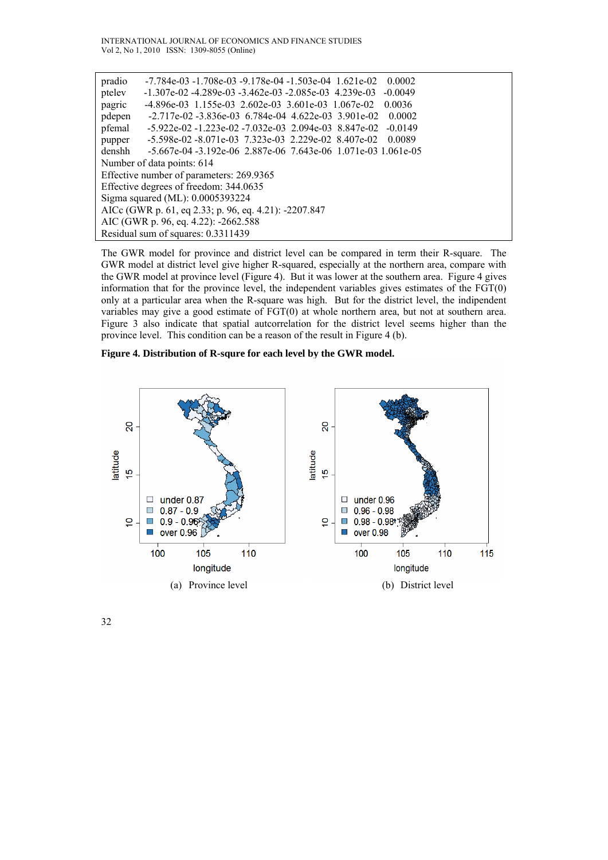INTERNATIONAL JOURNAL OF ECONOMICS AND FINANCE STUDIES Vol 2, No 1, 2010 ISSN: 1309-8055 (Online)

| pradio                                                | $-7.784e-03 - 1.708e-03 - 9.178e-04 - 1.503e-04$ 1.621e-02<br>0.0002     |  |  |  |
|-------------------------------------------------------|--------------------------------------------------------------------------|--|--|--|
| ptelev                                                | $-1.307e-02 - 4.289e-03 - 3.462e-03 - 2.085e-03$ 4.239e-03<br>$-0.0049$  |  |  |  |
| pagric                                                | $-4.896e-03$ 1.155e-03 2.602e-03 3.601e-03 1.067e-02<br>0.0036           |  |  |  |
| pdepen                                                | $-2.717e-02 - 3.836e-03$ 6.784e-04 4.622e-03 3.901e-02<br>0.0002         |  |  |  |
| pfemal                                                | $-5.922e-02 - 1.223e-02 - 7.032e-03$ 2.094e-03 8.847e-02<br>$-0.0149$    |  |  |  |
| pupper                                                | $-5.598e-02 - 8.071e-03$ $7.323e-03$ $2.229e-02$ $8.407e-02$<br>0.0089   |  |  |  |
| denshh                                                | $-5.667e-04 - 3.192e-06$ $2.887e-06$ $7.643e-06$ $1.071e-03$ $1.061e-05$ |  |  |  |
| Number of data points: 614                            |                                                                          |  |  |  |
| Effective number of parameters: 269.9365              |                                                                          |  |  |  |
| Effective degrees of freedom: 344.0635                |                                                                          |  |  |  |
| Sigma squared (ML): 0.0005393224                      |                                                                          |  |  |  |
| AICc (GWR p. 61, eq 2.33; p. 96, eq. 4.21): -2207.847 |                                                                          |  |  |  |
| AIC (GWR p. 96, eq. 4.22): -2662.588                  |                                                                          |  |  |  |
| Residual sum of squares: 0.3311439                    |                                                                          |  |  |  |

The GWR model for province and district level can be compared in term their R-square. The GWR model at district level give higher R-squared, especially at the northern area, compare with the GWR model at province level (Figure 4). But it was lower at the southern area. Figure 4 gives information that for the province level, the independent variables gives estimates of the FGT(0) only at a particular area when the R-square was high. But for the district level, the indipendent variables may give a good estimate of FGT(0) at whole northern area, but not at southern area. Figure 3 also indicate that spatial autcorrelation for the district level seems higher than the province level. This condition can be a reason of the result in Figure 4 (b).

### **Figure 4. Distribution of R-squre for each level by the GWR model.**